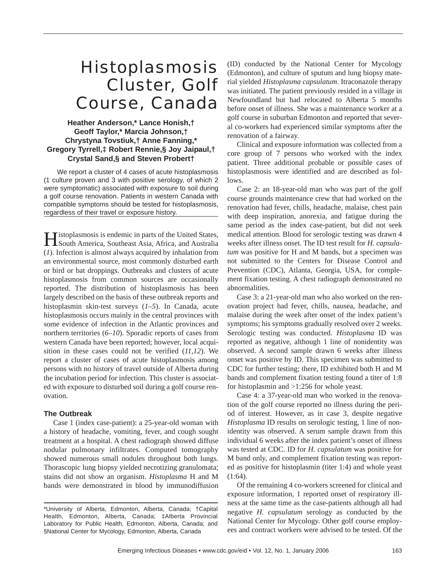# Histoplasmosis Cluster, Golf Course, Canada

## **Heather Anderson,\* Lance Honish,† Geoff Taylor,\* Marcia Johnson,† Chrystyna Tovstiuk,† Anne Fanning,\* Gregory Tyrrell,‡ Robert Rennie,§ Joy Jaipaul,† Crystal Sand,§ and Steven Probert†**

We report a cluster of 4 cases of acute histoplasmosis (1 culture proven and 3 with positive serology, of which 2 were symptomatic) associated with exposure to soil during a golf course renovation. Patients in western Canada with compatible symptoms should be tested for histoplasmosis, regardless of their travel or exposure history.

Histoplasmosis is endemic in parts of the United States, South America, Southeast Asia, Africa, and Australia (*1*). Infection is almost always acquired by inhalation from an environmental source, most commonly disturbed earth or bird or bat droppings. Outbreaks and clusters of acute histoplasmosis from common sources are occasionally reported. The distribution of histoplasmosis has been largely described on the basis of these outbreak reports and histoplasmin skin-test surveys (*1–5*). In Canada, acute histoplasmosis occurs mainly in the central provinces with some evidence of infection in the Atlantic provinces and northern territories (*6–10*). Sporadic reports of cases from western Canada have been reported; however, local acquisition in these cases could not be verified (*11,12*). We report a cluster of cases of acute histoplasmosis among persons with no history of travel outside of Alberta during the incubation period for infection. This cluster is associated with exposure to disturbed soil during a golf course renovation.

## **The Outbreak**

Case 1 (index case-patient): a 25-year-old woman with a history of headache, vomiting, fever, and cough sought treatment at a hospital. A chest radiograph showed diffuse nodular pulmonary infiltrates. Computed tomography showed numerous small nodules throughout both lungs. Thorascopic lung biopsy yielded necrotizing granulomata; stains did not show an organism. *Histoplasma* H and M bands were demonstrated in blood by immunodiffusion

(ID) conducted by the National Center for Mycology (Edmonton), and culture of sputum and lung biopsy material yielded *Histoplasma capsulatum*. Itraconazole therapy was initiated. The patient previously resided in a village in Newfoundland but had relocated to Alberta 5 months before onset of illness. She was a maintenance worker at a golf course in suburban Edmonton and reported that several co-workers had experienced similar symptoms after the renovation of a fairway.

Clinical and exposure information was collected from a core group of 7 persons who worked with the index patient. Three additional probable or possible cases of histoplasmosis were identified and are described as follows.

Case 2: an 18-year-old man who was part of the golf course grounds maintenance crew that had worked on the renovation had fever, chills, headache, malaise, chest pain with deep inspiration, anorexia, and fatigue during the same period as the index case-patient, but did not seek medical attention. Blood for serologic testing was drawn 4 weeks after illness onset. The ID test result for *H. capsulatum* was positive for H and M bands, but a specimen was not submitted to the Centers for Disease Control and Prevention (CDC), Atlanta, Georgia, USA, for complement fixation testing. A chest radiograph demonstrated no abnormalities.

Case 3: a 21-year-old man who also worked on the renovation project had fever, chills, nausea, headache, and malaise during the week after onset of the index patient's symptoms; his symptoms gradually resolved over 2 weeks. Serologic testing was conducted. *Histoplasma* ID was reported as negative, although 1 line of nonidentity was observed. A second sample drawn 6 weeks after illness onset was positive by ID. This specimen was submitted to CDC for further testing; there, ID exhibited both H and M bands and complement fixation testing found a titer of 1:8 for histoplasmin and >1:256 for whole yeast.

Case 4: a 37-year-old man who worked in the renovation of the golf course reported no illness during the period of interest. However, as in case 3, despite negative *Histoplasma* ID results on serologic testing, 1 line of nonidentity was observed. A serum sample drawn from this individual 6 weeks after the index patient's onset of illness was tested at CDC. ID for *H. capsulatum* was positive for M band only, and complement fixation testing was reported as positive for histoplasmin (titer 1:4) and whole yeast (1:64).

Of the remaining 4 co-workers screened for clinical and exposure information, 1 reported onset of respiratory illness at the same time as the case-patients although all had negative *H. capsulatum* serology as conducted by the National Center for Mycology. Other golf course employees and contract workers were advised to be tested. Of the

<sup>\*</sup>University of Alberta, Edmonton, Alberta, Canada; †Capital Health, Edmonton, Alberta, Canada; ‡Alberta Provincial Laboratory for Public Health, Edmonton, Alberta, Canada; and §National Center for Mycology, Edmonton, Alberta, Canada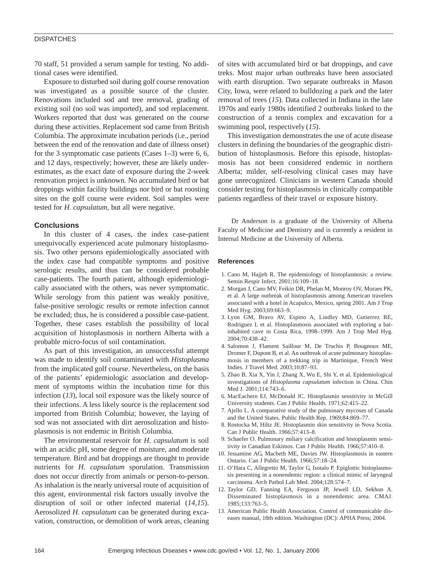#### **DISPATCHES**

70 staff, 51 provided a serum sample for testing. No additional cases were identified.

Exposure to disturbed soil during golf course renovation was investigated as a possible source of the cluster. Renovations included sod and tree removal, grading of existing soil (no soil was imported), and sod replacement. Workers reported that dust was generated on the course during these activities. Replacement sod came from British Columbia. The approximate incubation periods (i.e., period between the end of the renovation and date of illness onset) for the 3 symptomatic case patients (Cases 1–3) were 6, 6, and 12 days, respectively; however, these are likely underestimates, as the exact date of exposure during the 2-week renovation project is unknown. No accumulated bird or bat droppings within facility buildings nor bird or bat roosting sites on the golf course were evident. Soil samples were tested for *H. capsulatum*, but all were negative.

### **Conclusions**

In this cluster of 4 cases, the index case-patient unequivocally experienced acute pulmonary histoplasmosis. Two other persons epidemiologically associated with the index case had compatible symptoms and positive serologic results, and thus can be considered probable case-patients. The fourth patient, although epidemiologically associated with the others, was never symptomatic. While serology from this patient was weakly positive, false-positive serologic results or remote infection cannot be excluded; thus, he is considered a possible case-patient. Together, these cases establish the possibility of local acquisition of histoplasmosis in northern Alberta with a probable micro-focus of soil contamination.

As part of this investigation, an unsuccessful attempt was made to identify soil contaminated with *Histoplasma* from the implicated golf course. Nevertheless, on the basis of the patients' epidemiologic association and development of symptoms within the incubation time for this infection (*13*), local soil exposure was the likely source of their infections. A less likely source is the replacement sod imported from British Columbia; however, the laying of sod was not associated with dirt aerosolization and histoplasmosis is not endemic in British Columbia.

The environmental reservoir for *H. capsulatum* is soil with an acidic pH, some degree of moisture, and moderate temperature. Bird and bat droppings are thought to provide nutrients for *H. capsulatum* sporulation. Transmission does not occur directly from animals or person-to-person. As inhalation is the nearly universal route of acquisition of this agent, environmental risk factors usually involve the disruption of soil or other infected material (*14,15*). Aerosolized *H. capsulatum* can be generated during excavation, construction, or demolition of work areas, cleaning of sites with accumulated bird or bat droppings, and cave treks. Most major urban outbreaks have been associated with earth disruption. Two separate outbreaks in Mason City, Iowa, were related to bulldozing a park and the later removal of trees (*15*). Data collected in Indiana in the late 1970s and early 1980s identified 2 outbreaks linked to the construction of a tennis complex and excavation for a swimming pool, respectively (*15*).

This investigation demonstrates the use of acute disease clusters in defining the boundaries of the geographic distribution of histoplasmosis. Before this episode, histoplasmosis has not been considered endemic in northern Alberta; milder, self-resolving clinical cases may have gone unrecognized. Clinicians in western Canada should consider testing for histoplasmosis in clinically compatible patients regardless of their travel or exposure history.

Dr Anderson is a graduate of the University of Alberta Faculty of Medicine and Dentistry and is currently a resident in Internal Medicine at the University of Alberta.

#### **References**

- 1. Cano M, Hajjeh R. The epidemiology of histoplasmosis: a review. Semin Respir Infect. 2001;16:109–18.
- 2. Morgan J, Cano MV, Feikin DR, Phelan M, Monroy OV, Moraes PK, et al. A large outbreak of histoplasmosis among American travelers associated with a hotel in Acapulco, Mexico, spring 2001. Am J Trop Med Hyg. 2003;69:663–9.
- 3. Lyon GM, Bravo AV, Espino A, Lindley MD, Gutierrez RE, Rodriguez I, et al. Histoplasmosis associated with exploring a batinhabited cave in Costa Rica, 1998–1999. Am J Trop Med Hyg. 2004;70:438–42.
- 4. Salomon J, Flament Saillour M, De Truchis P, Bougnoux ME, Dromer F, Dupont B, et al. An outbreak of acute pulmonary histoplasmosis in members of a trekking trip in Martinique, French West Indies. J Travel Med. 2003;10:87–93.
- 5. Zhao B, Xia X, Yin J, Zhang X, Wu E, Shi Y, et al. Epidemiological investigations of *Histoplasma capsulatum* infection in China. Chin Med J. 2001;114:743–6.
- 6. MacEachern EJ, McDonald JC. Histoplasmin sensitivity in McGill University students. Can J Public Health. 1971;62:415–22.
- 7. Ajello L. A comparative study of the pulmonary mycoses of Canada and the United States. Public Health Rep. 1969;84:869–77.
- 8. Rostocka M, Hiltz JE. Histoplasmin skin sensitivity in Nova Scotia. Can J Public Health. 1966;57:413–8.
- 9. Schaefer O. Pulmonary miliary calcification and histoplasmin sensitivity in Canadian Eskimos. Can J Public Health. 1966;57:410–8.
- 10. Jessamine AG, Macbeth ME, Davies JW. Histoplasmosis in eastern Ontario. Can J Public Health. 1966;57:18–24.
- 11. O'Hara C, Allegretto M, Taylor G, Isotalo P. Epiglottic histoplasmosis presenting in a nonendemic region: a clinical mimic of laryngeal carcinoma. Arch Pathol Lab Med. 2004;128:574–7.
- 12. Taylor GD, Fanning EA, Ferguson JP, Jewell LD, Sekhon A. Disseminated histoplasmosis in a nonendemic area. CMAJ. 1985;133:763–5.
- 13. American Public Health Association. Control of communicable diseases manual, 18th edition. Washington (DC): APHA Press; 2004.